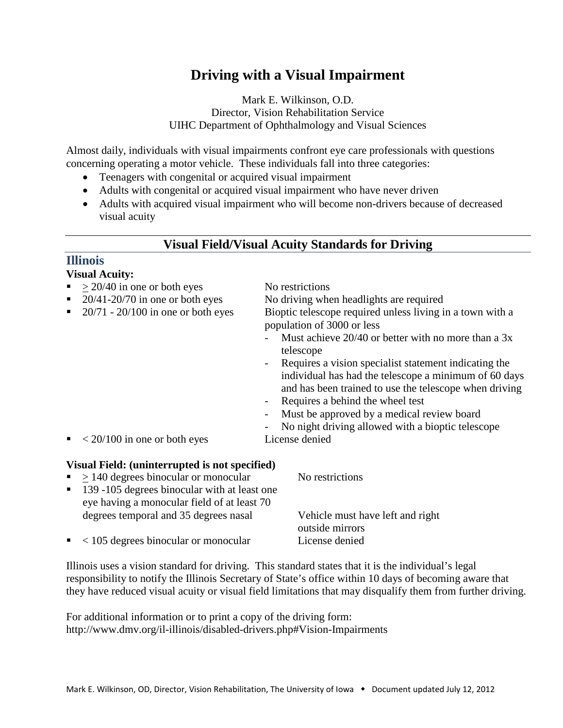# **Driving with a Visual Impairment**

Mark E. Wilkinson, O.D. Director, Vision Rehabilitation Service UIHC Department of Ophthalmology and Visual Sciences

Almost daily, individuals with visual impairments confront eye care professionals with questions concerning operating a motor vehicle. These individuals fall into three categories:

- Teenagers with congenital or acquired visual impairment
- Adults with congenital or acquired visual impairment who have never driven
- Adults with acquired visual impairment who will become non-drivers because of decreased visual acuity

### **Visual Field/Visual Acuity Standards for Driving**

### **Illinois**

### **Visual Acuity:**

- $\approx$  > 20/40 in one or both eyes No restrictions ■ 20/41-20/70 in one or both eyes No driving when headlights are required<br>■ 20/71 - 20/100 in one or both eyes Bioptic telescope required unless living in Bioptic telescope required unless living in a town with a population of 3000 or less Must achieve  $20/40$  or better with no more than a 3x
	- telescope - Requires a vision specialist statement indicating the individual has had the telescope a minimum of 60 days
		- and has been trained to use the telescope when driving
	- Requires a behind the wheel test
	- Must be approved by a medical review board
	- No night driving allowed with a bioptic telescope
- $\sim 20/100$  in one or both eyes License denied

### **Visual Field: (uninterrupted is not specified)**

- $> 140$  degrees binocular or monocular No restrictions
- 139 -105 degrees binocular with at least one eye having a monocular field of at least 70 degrees temporal and 35 degrees nasal Vehicle must have left and right
- < 105 degrees binocular or monocular License denied

outside mirrors

Illinois uses a vision standard for driving. This standard states that it is the individual's legal responsibility to notify the Illinois Secretary of State's office within 10 days of becoming aware that they have reduced visual acuity or visual field limitations that may disqualify them from further driving.

For additional information or to print a copy of the driving form: http://www.dmv.org/il-illinois/disabled-drivers.php#Vision-Impairments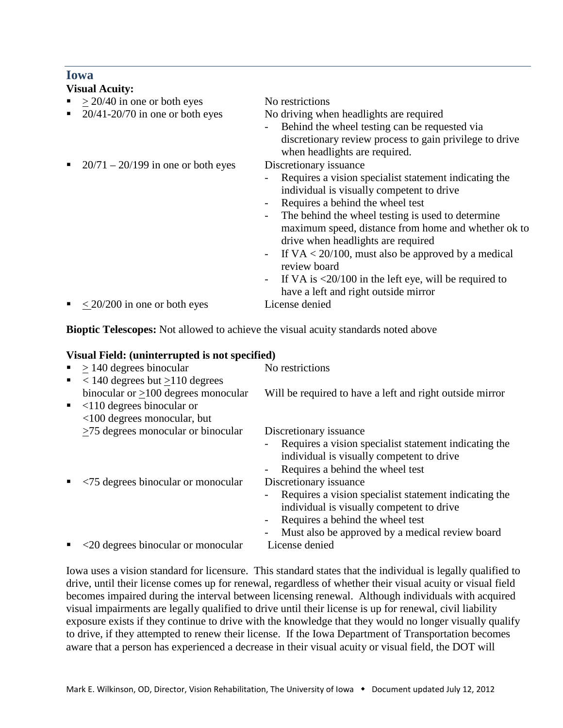### **Iowa**

#### **Visual Acuity:**

- $\geq$  20/40 in one or both eyes No restrictions<br>20/41-20/70 in one or both eyes No driving whe
- 
- $\approx 20/71 20/199$  in one or both eyes Discretionary issuance

No driving when headlights are required

Behind the wheel testing can be requested via discretionary review process to gain privilege to drive when headlights are required.

- Requires a vision specialist statement indicating the individual is visually competent to drive
- Requires a behind the wheel test
- The behind the wheel testing is used to determine maximum speed, distance from home and whether ok to drive when headlights are required
- If  $VA < 20/100$ , must also be approved by a medical review board
- If VA is  $\langle 20/100$  in the left eye, will be required to have a left and right outside mirror
- < 20/200 in one or both eyes License denied

**Bioptic Telescopes:** Not allowed to achieve the visual acuity standards noted above

# **Visual Field: (uninterrupted is not specified)**

|            | $\blacktriangleright$ 140 degrees binocular | No restrictions                                                                                                                |
|------------|---------------------------------------------|--------------------------------------------------------------------------------------------------------------------------------|
| ٠          | $140$ degrees but $\geq$ 110 degrees        |                                                                                                                                |
|            | binocular or $\geq$ 100 degrees monocular   | Will be required to have a left and right outside mirror                                                                       |
| <b>B</b> C | $\leq$ 110 degrees binocular or             |                                                                                                                                |
|            | $<100$ degrees monocular, but               |                                                                                                                                |
|            | $\geq$ 75 degrees monocular or binocular    | Discretionary issuance                                                                                                         |
|            |                                             | Requires a vision specialist statement indicating the<br>$\overline{\phantom{0}}$<br>individual is visually competent to drive |
|            |                                             | Requires a behind the wheel test                                                                                               |
|            | <75 degrees binocular or monocular          | Discretionary issuance                                                                                                         |
|            |                                             | Requires a vision specialist statement indicating the<br>-                                                                     |
|            |                                             | individual is visually competent to drive                                                                                      |
|            |                                             | Requires a behind the wheel test<br>$\qquad \qquad -$                                                                          |
|            |                                             | Must also be approved by a medical review board                                                                                |
|            | 20 degrees binocular or monocular           | License denied                                                                                                                 |

Iowa uses a vision standard for licensure. This standard states that the individual is legally qualified to drive, until their license comes up for renewal, regardless of whether their visual acuity or visual field becomes impaired during the interval between licensing renewal. Although individuals with acquired visual impairments are legally qualified to drive until their license is up for renewal, civil liability exposure exists if they continue to drive with the knowledge that they would no longer visually qualify to drive, if they attempted to renew their license. If the Iowa Department of Transportation becomes aware that a person has experienced a decrease in their visual acuity or visual field, the DOT will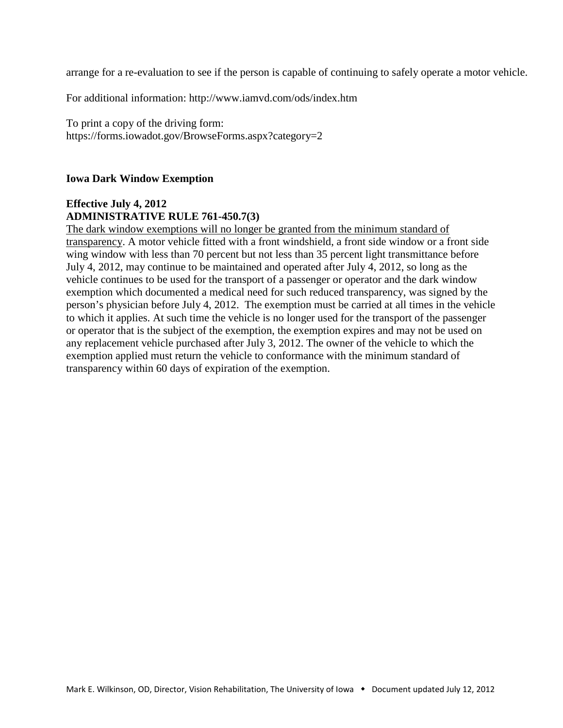arrange for a re-evaluation to see if the person is capable of continuing to safely operate a motor vehicle.

For additional information: http://www.iamvd.com/ods/index.htm

To print a copy of the driving form: https://forms.iowadot.gov/BrowseForms.aspx?category=2

#### **Iowa Dark Window Exemption**

#### **Effective July 4, 2012 ADMINISTRATIVE RULE 761-450.7(3)**

The dark window exemptions will no longer be granted from the minimum standard of transparency. A motor vehicle fitted with a front windshield, a front side window or a front side wing window with less than 70 percent but not less than 35 percent light transmittance before July 4, 2012, may continue to be maintained and operated after July 4, 2012, so long as the vehicle continues to be used for the transport of a passenger or operator and the dark window exemption which documented a medical need for such reduced transparency, was signed by the person's physician before July 4, 2012. The exemption must be carried at all times in the vehicle to which it applies. At such time the vehicle is no longer used for the transport of the passenger or operator that is the subject of the exemption, the exemption expires and may not be used on any replacement vehicle purchased after July 3, 2012. The owner of the vehicle to which the exemption applied must return the vehicle to conformance with the minimum standard of transparency within 60 days of expiration of the exemption.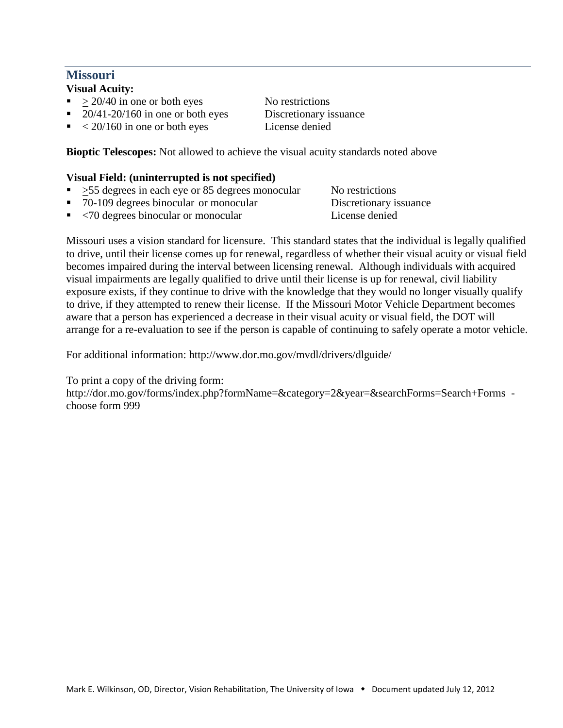## **Missouri**

**Visual Acuity:** 

- $> 20/40$  in one or both eyes No restrictions
- 20/41-20/160 in one or both eyes Discretionary issuance
- $\sim 20/160$  in one or both eyes License denied

**Bioptic Telescopes:** Not allowed to achieve the visual acuity standards noted above

### **Visual Field: (uninterrupted is not specified)**

- $\sim$  >55 degrees in each eye or 85 degrees monocular No restrictions
- 
- 70-109 degrees binocular or monocular Discretionary issuance
- $<$ 70 degrees binocular or monocular

Missouri uses a vision standard for licensure. This standard states that the individual is legally qualified to drive, until their license comes up for renewal, regardless of whether their visual acuity or visual field becomes impaired during the interval between licensing renewal. Although individuals with acquired visual impairments are legally qualified to drive until their license is up for renewal, civil liability exposure exists, if they continue to drive with the knowledge that they would no longer visually qualify to drive, if they attempted to renew their license. If the Missouri Motor Vehicle Department becomes aware that a person has experienced a decrease in their visual acuity or visual field, the DOT will arrange for a re-evaluation to see if the person is capable of continuing to safely operate a motor vehicle.

For additional information: http://www.dor.mo.gov/mvdl/drivers/dlguide/

To print a copy of the driving form:

http://dor.mo.gov/forms/index.php?formName=&category=2&year=&searchForms=Search+Forms choose form 999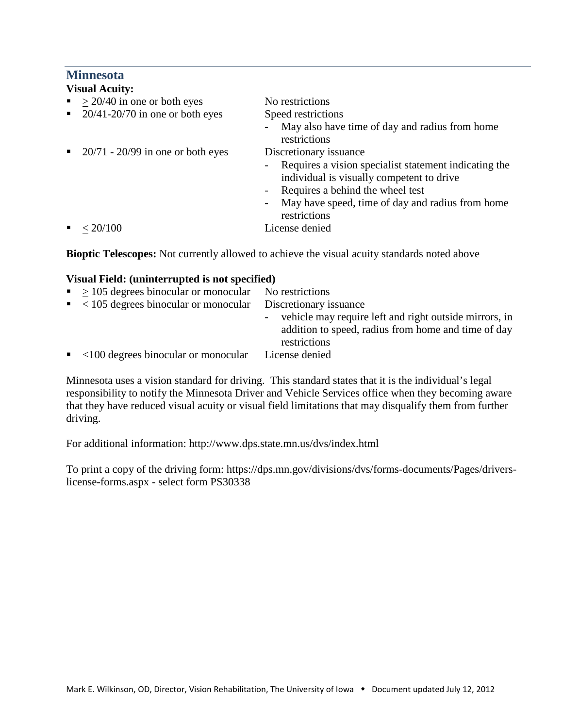### **Minnesota**

- $\approx$  > 20/40 in one or both eyes No restrictions
- 20/41-20/70 in one or both eyes Speed restrictions
- 

- May also have time of day and radius from home restrictions
- 20/71 20/99 in one or both eyes Discretionary issuance

- Requires a vision specialist statement indicating the individual is visually competent to drive
- Requires a behind the wheel test
- May have speed, time of day and radius from home

 $\sim 20/100$ 

restrictions<br>License denied

**Bioptic Telescopes:** Not currently allowed to achieve the visual acuity standards noted above

### **Visual Field: (uninterrupted is not specified)**

| $\sim$ > 105 degrees binocular or monocular<br>No restrictions<br>Discretionary issuance<br>- vehicle may require left and right outside mirrors, in |  |
|------------------------------------------------------------------------------------------------------------------------------------------------------|--|
| $\sim$ 105 degrees binocular or monocular                                                                                                            |  |
|                                                                                                                                                      |  |
| addition to speed, radius from home and time of day<br>restrictions                                                                                  |  |
| $\sim$ <100 degrees binocular or monocular<br>License denied                                                                                         |  |

Minnesota uses a vision standard for driving. This standard states that it is the individual's legal responsibility to notify the Minnesota Driver and Vehicle Services office when they becoming aware that they have reduced visual acuity or visual field limitations that may disqualify them from further driving.

For additional information: http://www.dps.state.mn.us/dvs/index.html

To print a copy of the driving form: https://dps.mn.gov/divisions/dvs/forms-documents/Pages/driverslicense-forms.aspx - select form PS30338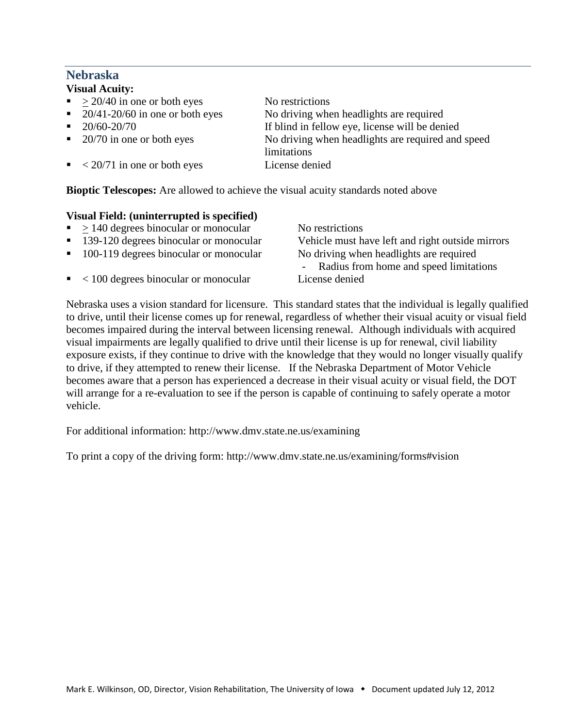# **Nebraska**

### **Visual Acuity:**

 $> 20/40$  in one or both eyes No restrictions • 20/41-20/60 in one or both eyes No driving when headlights are required 20/60-20/70 If blind in fellow eye, license will be denied 20/70 in one or both eyes No driving when headlights are required and speed limitations  $\sim 20/71$  in one or both eyes License denied **Bioptic Telescopes:** Are allowed to achieve the visual acuity standards noted above

### **Visual Field: (uninterrupted is specified)**

- $> 140$  degrees binocular or monocular No restrictions
- 
- 
- < 100 degrees binocular or monocular License denied

 139-120 degrees binocular or monocular Vehicle must have left and right outside mirrors 100-119 degrees binocular or monocular No driving when headlights are required - Radius from home and speed limitations

Nebraska uses a vision standard for licensure. This standard states that the individual is legally qualified to drive, until their license comes up for renewal, regardless of whether their visual acuity or visual field becomes impaired during the interval between licensing renewal. Although individuals with acquired visual impairments are legally qualified to drive until their license is up for renewal, civil liability exposure exists, if they continue to drive with the knowledge that they would no longer visually qualify to drive, if they attempted to renew their license. If the Nebraska Department of Motor Vehicle becomes aware that a person has experienced a decrease in their visual acuity or visual field, the DOT will arrange for a re-evaluation to see if the person is capable of continuing to safely operate a motor vehicle.

For additional information: http://www.dmv.state.ne.us/examining

To print a copy of the driving form: http://www.dmv.state.ne.us/examining/forms#vision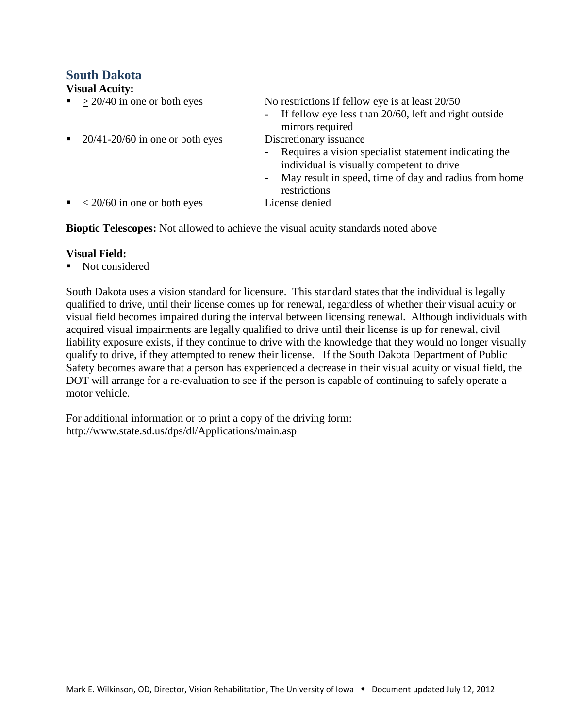# **South Dakota**

| <b>Visual Acuity:</b>                                            |                                                                                                                                                                                                                               |  |  |  |
|------------------------------------------------------------------|-------------------------------------------------------------------------------------------------------------------------------------------------------------------------------------------------------------------------------|--|--|--|
| $\sim$ > 20/40 in one or both eyes                               | No restrictions if fellow eye is at least 20/50<br>If fellow eye less than 20/60, left and right outside<br>$\sim$ $-$<br>mirrors required                                                                                    |  |  |  |
| $20/41 - 20/60$ in one or both eyes<br>$\mathbf{H}^{\text{max}}$ | Discretionary issuance<br>Requires a vision specialist statement indicating the<br>$\sim$ $-$<br>individual is visually competent to drive<br>May result in speed, time of day and radius from home<br>$\sim$<br>restrictions |  |  |  |
| $\sim 20/60$ in one or both eyes                                 | License denied                                                                                                                                                                                                                |  |  |  |

**Bioptic Telescopes:** Not allowed to achieve the visual acuity standards noted above

#### **Visual Field:**

Not considered

South Dakota uses a vision standard for licensure. This standard states that the individual is legally qualified to drive, until their license comes up for renewal, regardless of whether their visual acuity or visual field becomes impaired during the interval between licensing renewal. Although individuals with acquired visual impairments are legally qualified to drive until their license is up for renewal, civil liability exposure exists, if they continue to drive with the knowledge that they would no longer visually qualify to drive, if they attempted to renew their license. If the South Dakota Department of Public Safety becomes aware that a person has experienced a decrease in their visual acuity or visual field, the DOT will arrange for a re-evaluation to see if the person is capable of continuing to safely operate a motor vehicle.

For additional information or to print a copy of the driving form: http://www.state.sd.us/dps/dl/Applications/main.asp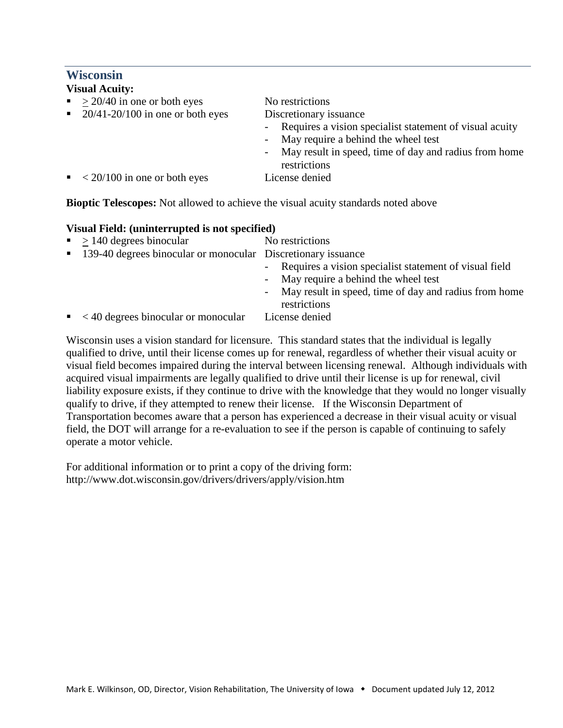## **Wisconsin**

| <b>Visual Acuity:</b> |                                           |                                                                                                                                                                               |  |  |
|-----------------------|-------------------------------------------|-------------------------------------------------------------------------------------------------------------------------------------------------------------------------------|--|--|
|                       | $\sim 20/40$ in one or both eyes          | No restrictions                                                                                                                                                               |  |  |
|                       | $\sim 20/41 - 20/100$ in one or both eyes | Discretionary issuance                                                                                                                                                        |  |  |
|                       |                                           | - Requires a vision specialist statement of visual acuity<br>- May require a behind the wheel test<br>- May result in speed, time of day and radius from home<br>restrictions |  |  |
|                       | $\sim 20/100$ in one or both eyes         | License denied                                                                                                                                                                |  |  |

**Bioptic Telescopes:** Not allowed to achieve the visual acuity standards noted above

#### **Visual Field: (uninterrupted is not specified)**

| $\blacktriangleright$ 140 degrees binocular                    | No restrictions                                          |
|----------------------------------------------------------------|----------------------------------------------------------|
| • 139-40 degrees binocular or monocular Discretionary issuance |                                                          |
|                                                                | - Requires a vision specialist statement of visual field |
|                                                                | - May require a behind the wheel test                    |
|                                                                | - May result in speed, time of day and radius from home  |
|                                                                | restrictions                                             |
| $\sim$ <40 degrees binocular or monocular                      | License denied                                           |

Wisconsin uses a vision standard for licensure. This standard states that the individual is legally qualified to drive, until their license comes up for renewal, regardless of whether their visual acuity or visual field becomes impaired during the interval between licensing renewal. Although individuals with acquired visual impairments are legally qualified to drive until their license is up for renewal, civil liability exposure exists, if they continue to drive with the knowledge that they would no longer visually qualify to drive, if they attempted to renew their license. If the Wisconsin Department of Transportation becomes aware that a person has experienced a decrease in their visual acuity or visual field, the DOT will arrange for a re-evaluation to see if the person is capable of continuing to safely operate a motor vehicle.

For additional information or to print a copy of the driving form: http://www.dot.wisconsin.gov/drivers/drivers/apply/vision.htm